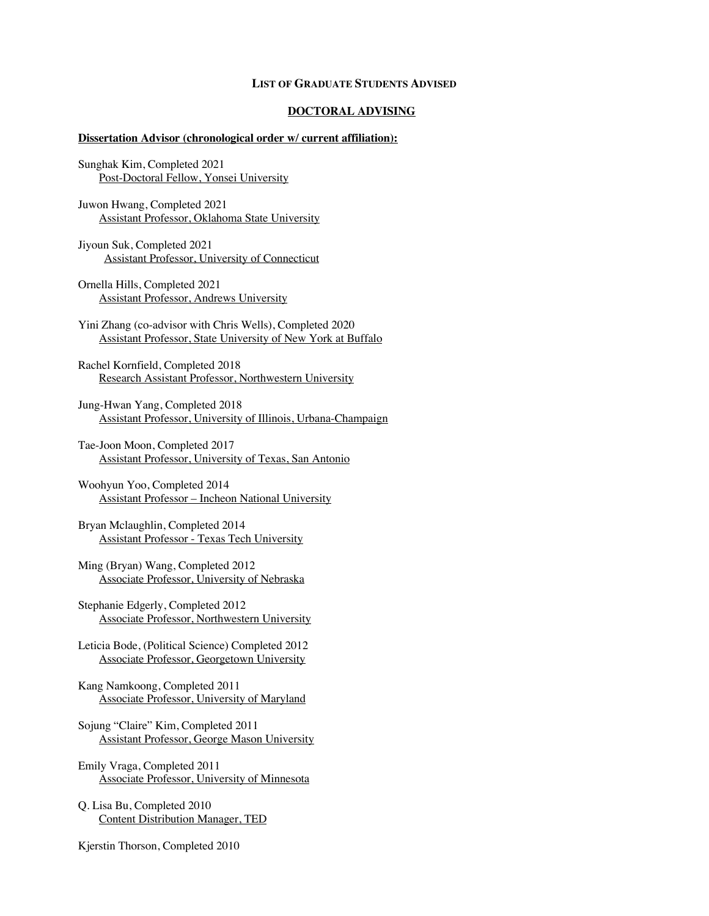### **LIST OF GRADUATE STUDENTS ADVISED**

# **DOCTORAL ADVISING**

#### **Dissertation Advisor (chronological order w/ current affiliation):**

Sunghak Kim, Completed 2021 Post-Doctoral Fellow, Yonsei University

Juwon Hwang, Completed 2021 Assistant Professor, Oklahoma State University

Jiyoun Suk, Completed 2021 Assistant Professor, University of Connecticut

Ornella Hills, Completed 2021 Assistant Professor, Andrews University

Yini Zhang (co-advisor with Chris Wells), Completed 2020 Assistant Professor, State University of New York at Buffalo

Rachel Kornfield, Completed 2018 Research Assistant Professor, Northwestern University

Jung-Hwan Yang, Completed 2018 Assistant Professor, University of Illinois, Urbana-Champaign

Tae-Joon Moon, Completed 2017 Assistant Professor, University of Texas, San Antonio

Woohyun Yoo, Completed 2014 Assistant Professor – Incheon National University

Bryan Mclaughlin, Completed 2014 Assistant Professor - Texas Tech University

Ming (Bryan) Wang, Completed 2012 Associate Professor, University of Nebraska

Stephanie Edgerly, Completed 2012 Associate Professor, Northwestern University

Leticia Bode, (Political Science) Completed 2012 Associate Professor, Georgetown University

Kang Namkoong, Completed 2011 Associate Professor, University of Maryland

Sojung "Claire" Kim, Completed 2011 Assistant Professor, George Mason University

Emily Vraga, Completed 2011 Associate Professor, University of Minnesota

Q. Lisa Bu, Completed 2010 Content Distribution Manager, TED

Kjerstin Thorson, Completed 2010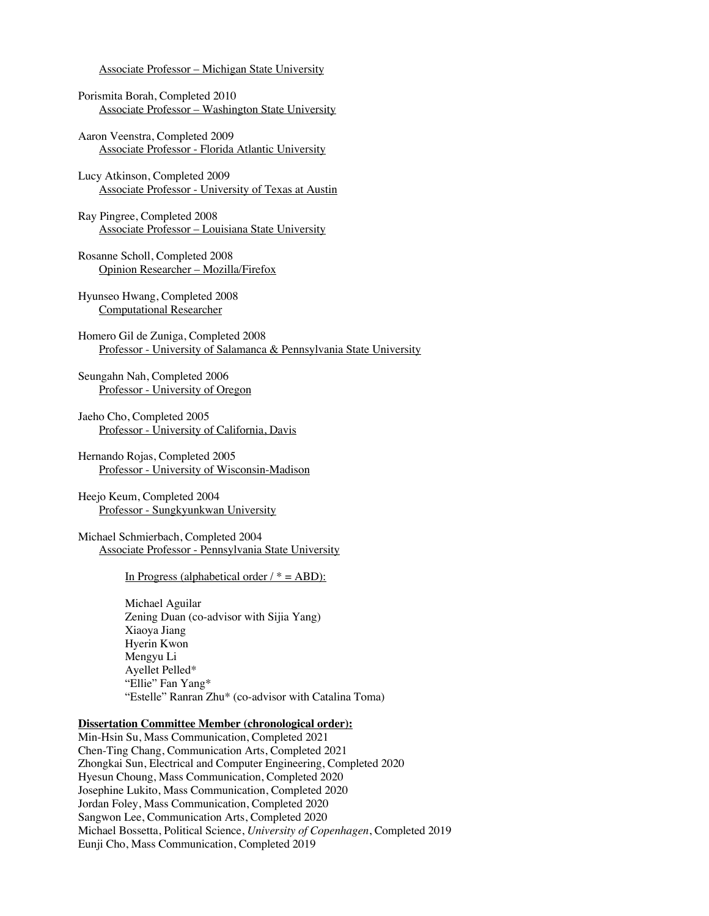Associate Professor – Michigan State University

- Porismita Borah, Completed 2010 Associate Professor – Washington State University
- Aaron Veenstra, Completed 2009 Associate Professor - Florida Atlantic University
- Lucy Atkinson, Completed 2009 Associate Professor - University of Texas at Austin
- Ray Pingree, Completed 2008 Associate Professor – Louisiana State University
- Rosanne Scholl, Completed 2008 Opinion Researcher – Mozilla/Firefox
- Hyunseo Hwang, Completed 2008 Computational Researcher
- Homero Gil de Zuniga, Completed 2008 Professor - University of Salamanca & Pennsylvania State University

Seungahn Nah, Completed 2006 Professor - University of Oregon

- Jaeho Cho, Completed 2005 Professor - University of California, Davis
- Hernando Rojas, Completed 2005 Professor - University of Wisconsin-Madison
- Heejo Keum, Completed 2004 Professor - Sungkyunkwan University

Michael Schmierbach, Completed 2004 Associate Professor - Pennsylvania State University

In Progress (alphabetical order  $/ * = ABD$ ):

Michael Aguilar Zening Duan (co-advisor with Sijia Yang) Xiaoya Jiang Hyerin Kwon Mengyu Li Ayellet Pelled\* "Ellie" Fan Yang\* "Estelle" Ranran Zhu\* (co-advisor with Catalina Toma)

# **Dissertation Committee Member (chronological order):**

Min-Hsin Su, Mass Communication, Completed 2021 Chen-Ting Chang, Communication Arts, Completed 2021 Zhongkai Sun, Electrical and Computer Engineering, Completed 2020 Hyesun Choung, Mass Communication, Completed 2020 Josephine Lukito, Mass Communication, Completed 2020 Jordan Foley, Mass Communication, Completed 2020 Sangwon Lee, Communication Arts, Completed 2020 Michael Bossetta, Political Science, *University of Copenhagen*, Completed 2019 Eunji Cho, Mass Communication, Completed 2019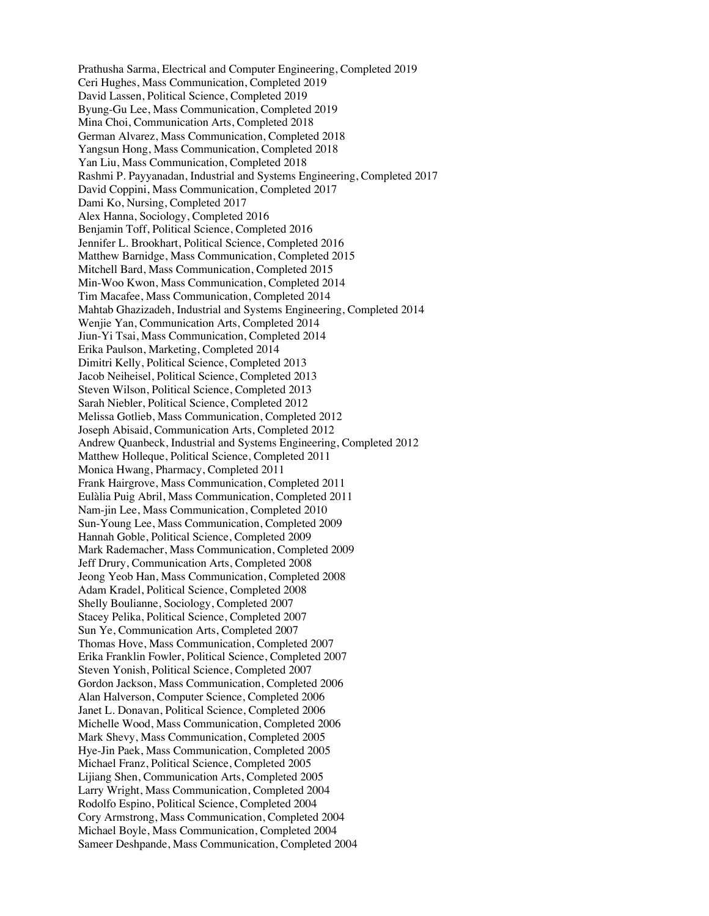Prathusha Sarma, Electrical and Computer Engineering, Completed 2019 Ceri Hughes, Mass Communication, Completed 2019 David Lassen, Political Science, Completed 2019 Byung-Gu Lee, Mass Communication, Completed 2019 Mina Choi, Communication Arts, Completed 2018 German Alvarez, Mass Communication, Completed 2018 Yangsun Hong, Mass Communication, Completed 2018 Yan Liu, Mass Communication, Completed 2018 Rashmi P. Payyanadan, Industrial and Systems Engineering, Completed 2017 David Coppini, Mass Communication, Completed 2017 Dami Ko, Nursing, Completed 2017 Alex Hanna, Sociology, Completed 2016 Benjamin Toff, Political Science, Completed 2016 Jennifer L. Brookhart, Political Science, Completed 2016 Matthew Barnidge, Mass Communication, Completed 2015 Mitchell Bard, Mass Communication, Completed 2015 Min-Woo Kwon, Mass Communication, Completed 2014 Tim Macafee, Mass Communication, Completed 2014 Mahtab Ghazizadeh, Industrial and Systems Engineering, Completed 2014 Wenjie Yan, Communication Arts, Completed 2014 Jiun-Yi Tsai, Mass Communication, Completed 2014 Erika Paulson, Marketing, Completed 2014 Dimitri Kelly, Political Science, Completed 2013 Jacob Neiheisel, Political Science, Completed 2013 Steven Wilson, Political Science, Completed 2013 Sarah Niebler, Political Science, Completed 2012 Melissa Gotlieb, Mass Communication, Completed 2012 Joseph Abisaid, Communication Arts, Completed 2012 Andrew Quanbeck, Industrial and Systems Engineering, Completed 2012 Matthew Holleque, Political Science, Completed 2011 Monica Hwang, Pharmacy, Completed 2011 Frank Hairgrove, Mass Communication, Completed 2011 Eulàlia Puig Abril, Mass Communication, Completed 2011 Nam-jin Lee, Mass Communication, Completed 2010 Sun-Young Lee, Mass Communication, Completed 2009 Hannah Goble, Political Science, Completed 2009 Mark Rademacher, Mass Communication, Completed 2009 Jeff Drury, Communication Arts, Completed 2008 Jeong Yeob Han, Mass Communication, Completed 2008 Adam Kradel, Political Science, Completed 2008 Shelly Boulianne, Sociology, Completed 2007 Stacey Pelika, Political Science, Completed 2007 Sun Ye, Communication Arts, Completed 2007 Thomas Hove, Mass Communication, Completed 2007 Erika Franklin Fowler, Political Science, Completed 2007 Steven Yonish, Political Science, Completed 2007 Gordon Jackson, Mass Communication, Completed 2006 Alan Halverson, Computer Science, Completed 2006 Janet L. Donavan, Political Science, Completed 2006 Michelle Wood, Mass Communication, Completed 2006 Mark Shevy, Mass Communication, Completed 2005 Hye-Jin Paek, Mass Communication, Completed 2005 Michael Franz, Political Science, Completed 2005 Lijiang Shen, Communication Arts, Completed 2005 Larry Wright, Mass Communication, Completed 2004 Rodolfo Espino, Political Science, Completed 2004 Cory Armstrong, Mass Communication, Completed 2004 Michael Boyle, Mass Communication, Completed 2004 Sameer Deshpande, Mass Communication, Completed 2004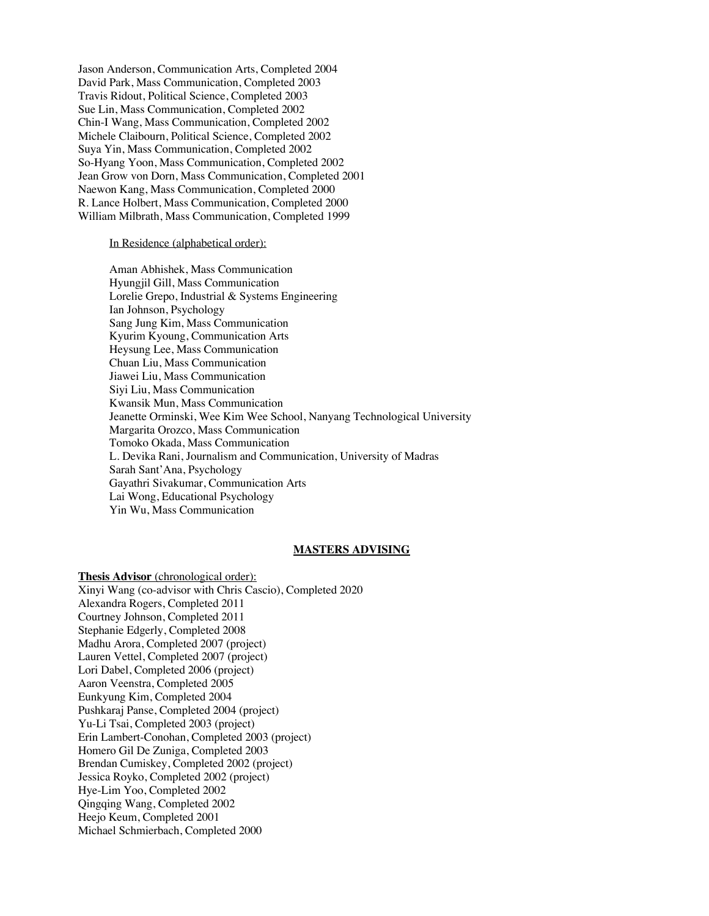Jason Anderson, Communication Arts, Completed 2004 David Park, Mass Communication, Completed 2003 Travis Ridout, Political Science, Completed 2003 Sue Lin, Mass Communication, Completed 2002 Chin-I Wang, Mass Communication, Completed 2002 Michele Claibourn, Political Science, Completed 2002 Suya Yin, Mass Communication, Completed 2002 So-Hyang Yoon, Mass Communication, Completed 2002 Jean Grow von Dorn, Mass Communication, Completed 2001 Naewon Kang, Mass Communication, Completed 2000 R. Lance Holbert, Mass Communication, Completed 2000 William Milbrath, Mass Communication, Completed 1999

#### In Residence (alphabetical order):

Aman Abhishek, Mass Communication Hyungjil Gill, Mass Communication Lorelie Grepo, Industrial & Systems Engineering Ian Johnson, Psychology Sang Jung Kim, Mass Communication Kyurim Kyoung, Communication Arts Heysung Lee, Mass Communication Chuan Liu, Mass Communication Jiawei Liu, Mass Communication Siyi Liu, Mass Communication Kwansik Mun, Mass Communication Jeanette Orminski, Wee Kim Wee School, Nanyang Technological University Margarita Orozco, Mass Communication Tomoko Okada, Mass Communication L. Devika Rani, Journalism and Communication, University of Madras Sarah Sant'Ana, Psychology Gayathri Sivakumar, Communication Arts Lai Wong, Educational Psychology Yin Wu, Mass Communication

#### **MASTERS ADVISING**

**Thesis Advisor** (chronological order): Xinyi Wang (co-advisor with Chris Cascio), Completed 2020 Alexandra Rogers, Completed 2011 Courtney Johnson, Completed 2011 Stephanie Edgerly, Completed 2008 Madhu Arora, Completed 2007 (project) Lauren Vettel, Completed 2007 (project) Lori Dabel, Completed 2006 (project) Aaron Veenstra, Completed 2005 Eunkyung Kim, Completed 2004 Pushkaraj Panse, Completed 2004 (project) Yu-Li Tsai, Completed 2003 (project) Erin Lambert-Conohan, Completed 2003 (project) Homero Gil De Zuniga, Completed 2003 Brendan Cumiskey, Completed 2002 (project) Jessica Royko, Completed 2002 (project) Hye-Lim Yoo, Completed 2002 Qingqing Wang, Completed 2002 Heejo Keum, Completed 2001 Michael Schmierbach, Completed 2000